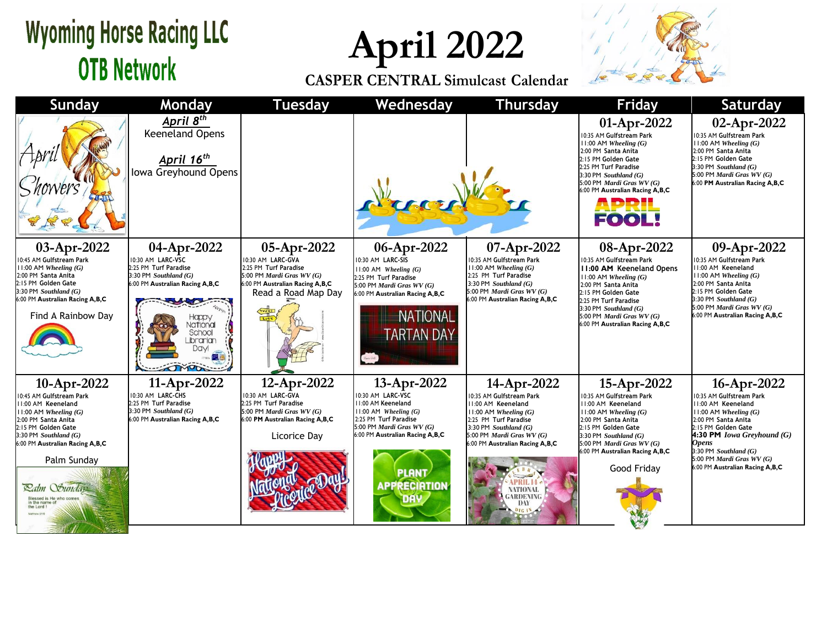## **Wyoming Horse Racing LLC OTB Network**

**April 2022**

**CASPER CENTRAL Simulcast Calendar**



| <b>Sunday</b>                                                                                                                                                                                                                                                                                      | Monday                                                                                                                                                                                      | <b>Tuesday</b>                                                                                                                                   | Wednesday                                                                                                                                                                                                            | <b>Thursday</b>                                                                                                                                                                                                                                             | <b>Friday</b>                                                                                                                                                                                                                                                                     | Saturday                                                                                                                                                                                                                                                                                   |
|----------------------------------------------------------------------------------------------------------------------------------------------------------------------------------------------------------------------------------------------------------------------------------------------------|---------------------------------------------------------------------------------------------------------------------------------------------------------------------------------------------|--------------------------------------------------------------------------------------------------------------------------------------------------|----------------------------------------------------------------------------------------------------------------------------------------------------------------------------------------------------------------------|-------------------------------------------------------------------------------------------------------------------------------------------------------------------------------------------------------------------------------------------------------------|-----------------------------------------------------------------------------------------------------------------------------------------------------------------------------------------------------------------------------------------------------------------------------------|--------------------------------------------------------------------------------------------------------------------------------------------------------------------------------------------------------------------------------------------------------------------------------------------|
|                                                                                                                                                                                                                                                                                                    | April 8 <sup>th</sup><br><b>Keeneland Opens</b><br>April 16 <sup>th</sup><br>Iowa Greyhound Opens                                                                                           |                                                                                                                                                  |                                                                                                                                                                                                                      |                                                                                                                                                                                                                                                             | 01-Apr-2022<br>0:35 AM Gulfstream Park<br>$11:00$ AM Wheeling $(G)$<br>2:00 PM Santa Anita<br>2:15 PM Golden Gate<br>2:25 PM Turf Paradise<br>3:30 PM Southland $(G)$<br>5:00 PM Mardi Gras WV (G)<br>6:00 PM Australian Racing A,B,C<br><b>APRIL<br/>FOOL!</b>                   | 02-Apr-2022<br>10:35 AM Gulfstream Park<br>$11:00$ AM Wheeling $(G)$<br>2:00 PM Santa Anita<br>2:15 PM Golden Gate<br>$3:30$ PM Southland $(G)$<br>5:00 PM Mardi Gras WV (G)<br>6:00 PM Australian Racing A,B,C                                                                            |
| 03-Apr-2022<br>10:45 AM Gulfstream Park<br>11:00 AM Wheeling $(G)$<br>2:00 PM Santa Anita<br>2:15 PM Golden Gate<br>3:30 PM Southland (G)<br>6:00 PM Australian Racing A,B,C<br>Find A Rainbow Day                                                                                                 | 04-Apr-2022<br>10:30 AM LARC-VSC<br>2:25 PM Turf Paradise<br>$3:30$ PM Southland $(G)$<br>6:00 PM Australian Racing A,B,C<br>Happy<br><b>Vational</b><br>School<br>Librarian<br><b>Davi</b> | 05-Apr-2022<br>10:30 AM LARC-GVA<br>2:25 PM Turf Paradise<br>5:00 PM Mardi Gras WV (G)<br>6:00 PM Australian Racing A,B,C<br>Read a Road Map Day | 06-Apr-2022<br>10:30 AM LARC-SIS<br>$11:00$ AM Wheeling $(G)$<br>2:25 PM Turf Paradise<br>5:00 PM Mardi Gras WV (G)<br>6:00 PM Australian Racing A,B,C<br><b>NATIONAL</b><br><b><i>FARTAN DAY</i></b>                | 07-Apr-2022<br>10:35 AM Gulfstream Park<br>$11:00$ AM Wheeling $(G)$<br>2:25 PM Turf Paradise<br>3:30 PM Southland $(G)$<br>5:00 PM <i>Mardi Gras WV</i> $(G)$<br>6:00 PM Australian Racing A,B,C                                                           | 08-Apr-2022<br>0:35 AM Gulfstream Park<br><b>11:00 AM Keeneland Opens</b><br>$11:00$ AM Wheeling $(G)$<br>2:00 PM Santa Anita<br>2:15 PM Golden Gate<br>2:25 PM Turf Paradise<br>3:30 PM Southland $(G)$<br>5:00 PM <i>Mardi Gras WV</i> $(G)$<br>6:00 PM Australian Racing A,B,C | 09-Apr-2022<br>10:35 AM Gulfstream Park<br>11:00 AM Keeneland<br>$11:00$ AM Wheeling $(G)$<br>2:00 PM Santa Anita<br>2:15 PM Golden Gate<br>3:30 PM Southland (G)<br>5:00 PM Mardi Gras WV (G)<br>6:00 PM Australian Racing A,B,C                                                          |
| 10-Apr-2022<br>10:45 AM Gulfstream Park<br>11:00 AM Keeneland<br>$11:00$ AM Wheeling $(G)$<br>2:00 PM Santa Anita<br>2:15 PM Golden Gate<br>3:30 PM Southland (G)<br>6:00 PM Australian Racing A,B,C<br>Palm Sunday<br><b>Ratm Sunday</b><br>Blessed is He who come<br>in the name o<br>the Lord I | 11-Apr-2022<br>10:30 AM LARC-CHS<br>2:25 PM Turf Paradise<br>3:30 PM Southland $(G)$<br>6:00 PM Australian Racing A,B,C                                                                     | 12-Apr-2022<br>10:30 AM LARC-GVA<br>2:25 PM Turf Paradise<br>5:00 PM Mardi Gras $WV(G)$<br>6:00 PM Australian Racing A,B,C<br>Licorice Day       | 13-Apr-2022<br>10:30 AM LARC-VSC<br>11:00 AM Keeneland<br>$11:00$ AM Wheeling $(G)$<br>2:25 PM Turf Paradise<br>5:00 PM Mardi Gras $WV(G)$<br>6:00 PM Australian Racing A,B,C<br><b>PLANT</b><br><b>APPRECIATION</b> | 14-Apr-2022<br>10:35 AM Gulfstream Park<br>11:00 AM Keeneland<br>11:00 AM Wheeling (G)<br>2:25 PM Turf Paradise<br>3:30 PM Southland $(G)$<br>5:00 PM Mardi Gras $WV(G)$<br>6:00 PM Australian Racing A,B,C<br>NATIONAL<br><b>GARDENING</b><br>DAY<br>D1618 | 15-Apr-2022<br>0:35 AM Gulfstream Park<br>1:00 AM Keeneland<br>11:00 AM Wheeling (G)<br>2:00 PM Santa Anita<br>2:15 PM Golden Gate<br>3:30 PM Southland $(G)$<br>5:00 PM <i>Mardi Gras WV</i> $(G)$<br>6:00 PM Australian Racing A, B, C<br>Good Friday                           | 16-Apr-2022<br>10:35 AM Gulfstream Park<br>11:00 AM Keeneland<br>$11:00$ AM Wheeling $(G)$<br>2:00 PM Santa Anita<br>2:15 PM Golden Gate<br><b>4:30 PM Iowa Greyhound (G)</b><br><b>Opens</b><br>$3:30$ PM Southland $(G)$<br>5:00 PM Mardi Gras WV (G)<br>6:00 PM Australian Racing A,B,C |